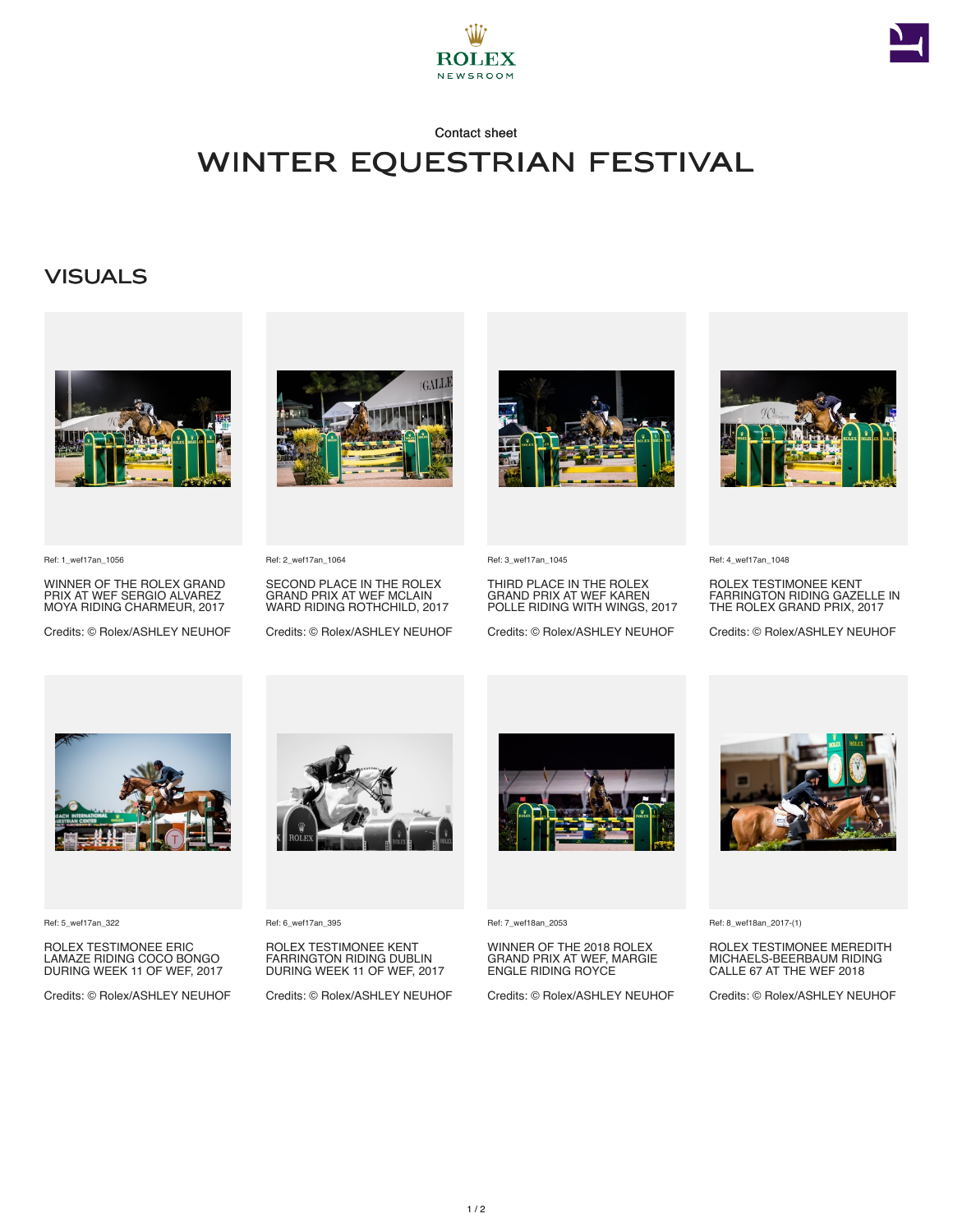



#### Contact sheet

## Winter Equestrian Festival

## **VISUALS**



Ref: 1\_wef17an\_1056

WINNER OF THE ROLEX GRAND PRIX AT WEF SERGIO ALVAREZ MOYA RIDING CHARMEUR, 2017

Credits: © Rolex/ASHLEY NEUHOF



Ref: 2\_wef17an\_1064

SECOND PLACE IN THE ROLEX GRAND PRIX AT WEF MCLAIN WARD RIDING ROTHCHILD, 2017

Credits: © Rolex/ASHLEY NEUHOF



Ref: 3\_wef17an\_1045

THIRD PLACE IN THE ROLEX GRAND PRIX AT WEF KAREN POLLE RIDING WITH WINGS, 2017

Credits: © Rolex/ASHLEY NEUHOF



Ref: 4\_wef17an\_1048

ROLEX TESTIMONEE KENT FARRINGTON RIDING GAZELLE IN THE ROLEX GRAND PRIX, 2017

Credits: © Rolex/ASHLEY NEUHOF



Ref: 5\_wef17an\_322

ROLEX TESTIMONEE ERIC LAMAZE RIDING COCO BONGO DURING WEEK 11 OF WEF, 2017

Credits: © Rolex/ASHLEY NEUHOF



Ref: 6\_wef17an\_395

ROLEX TESTIMONEE KENT FARRINGTON RIDING DUBLIN DURING WEEK 11 OF WEF, 2017

Credits: © Rolex/ASHLEY NEUHOF



Ref: 7\_wef18an\_2053

WINNER OF THE 2018 ROLEX GRAND PRIX AT WEF, MARGIE ENGLE RIDING ROYCE

Credits: © Rolex/ASHLEY NEUHOF



Ref: 8\_wef18an\_2017-(1)

ROLEX TESTIMONEE MEREDITH MICHAELS-BEERBAUM RIDING CALLE 67 AT THE WEF 2018

Credits: © Rolex/ASHLEY NEUHOF